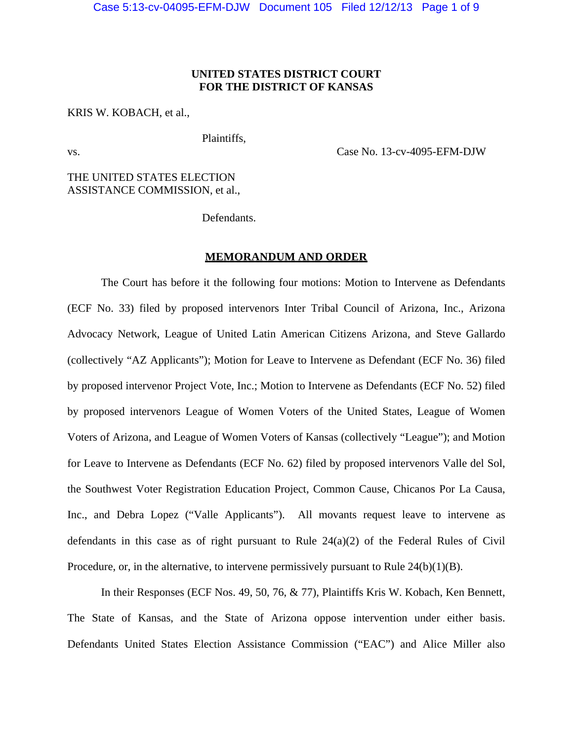# **UNITED STATES DISTRICT COURT FOR THE DISTRICT OF KANSAS**

# KRIS W. KOBACH, et al.,

vs. Case No. 13-cv-4095-EFM-DJW

THE UNITED STATES ELECTION ASSISTANCE COMMISSION, et al.,

Defendants.

Plaintiffs,

#### **MEMORANDUM AND ORDER**

 The Court has before it the following four motions: Motion to Intervene as Defendants (ECF No. 33) filed by proposed intervenors Inter Tribal Council of Arizona, Inc., Arizona Advocacy Network, League of United Latin American Citizens Arizona, and Steve Gallardo (collectively "AZ Applicants"); Motion for Leave to Intervene as Defendant (ECF No. 36) filed by proposed intervenor Project Vote, Inc.; Motion to Intervene as Defendants (ECF No. 52) filed by proposed intervenors League of Women Voters of the United States, League of Women Voters of Arizona, and League of Women Voters of Kansas (collectively "League"); and Motion for Leave to Intervene as Defendants (ECF No. 62) filed by proposed intervenors Valle del Sol, the Southwest Voter Registration Education Project, Common Cause, Chicanos Por La Causa, Inc., and Debra Lopez ("Valle Applicants"). All movants request leave to intervene as defendants in this case as of right pursuant to Rule 24(a)(2) of the Federal Rules of Civil Procedure, or, in the alternative, to intervene permissively pursuant to Rule 24(b)(1)(B).

In their Responses (ECF Nos. 49, 50, 76, & 77), Plaintiffs Kris W. Kobach, Ken Bennett, The State of Kansas, and the State of Arizona oppose intervention under either basis. Defendants United States Election Assistance Commission ("EAC") and Alice Miller also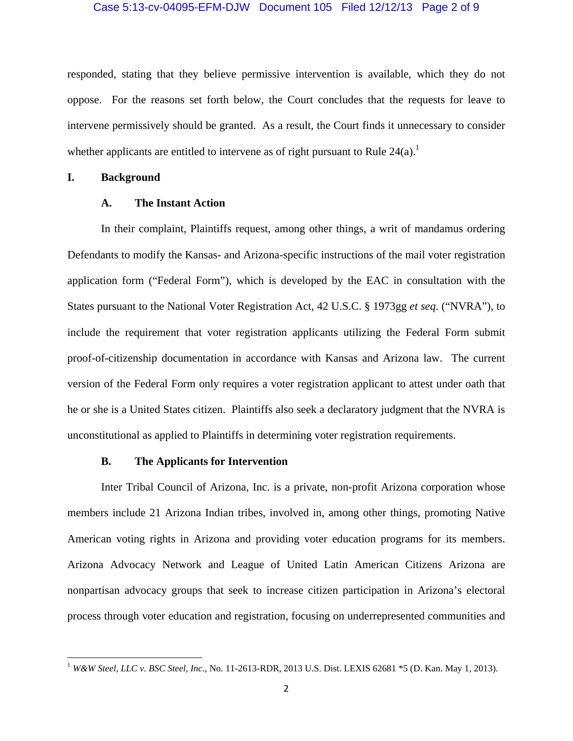#### Case 5:13-cv-04095-EFM-DJW Document 105 Filed 12/12/13 Page 2 of 9

responded, stating that they believe permissive intervention is available, which they do not oppose. For the reasons set forth below, the Court concludes that the requests for leave to intervene permissively should be granted. As a result, the Court finds it unnecessary to consider whether applicants are entitled to intervene as of right pursuant to Rule  $24(a)$ .<sup>1</sup>

#### **I. Background**

# **A. The Instant Action**

In their complaint, Plaintiffs request, among other things, a writ of mandamus ordering Defendants to modify the Kansas- and Arizona-specific instructions of the mail voter registration application form ("Federal Form"), which is developed by the EAC in consultation with the States pursuant to the National Voter Registration Act, 42 U.S.C. § 1973gg *et seq*. ("NVRA"), to include the requirement that voter registration applicants utilizing the Federal Form submit proof-of-citizenship documentation in accordance with Kansas and Arizona law. The current version of the Federal Form only requires a voter registration applicant to attest under oath that he or she is a United States citizen. Plaintiffs also seek a declaratory judgment that the NVRA is unconstitutional as applied to Plaintiffs in determining voter registration requirements.

### **B. The Applicants for Intervention**

Inter Tribal Council of Arizona, Inc. is a private, non-profit Arizona corporation whose members include 21 Arizona Indian tribes, involved in, among other things, promoting Native American voting rights in Arizona and providing voter education programs for its members. Arizona Advocacy Network and League of United Latin American Citizens Arizona are nonpartisan advocacy groups that seek to increase citizen participation in Arizona's electoral process through voter education and registration, focusing on underrepresented communities and

<sup>1</sup> *W&W Steel, LLC v. BSC Steel, Inc.*, No. 11-2613-RDR, 2013 U.S. Dist. LEXIS 62681 \*5 (D. Kan. May 1, 2013).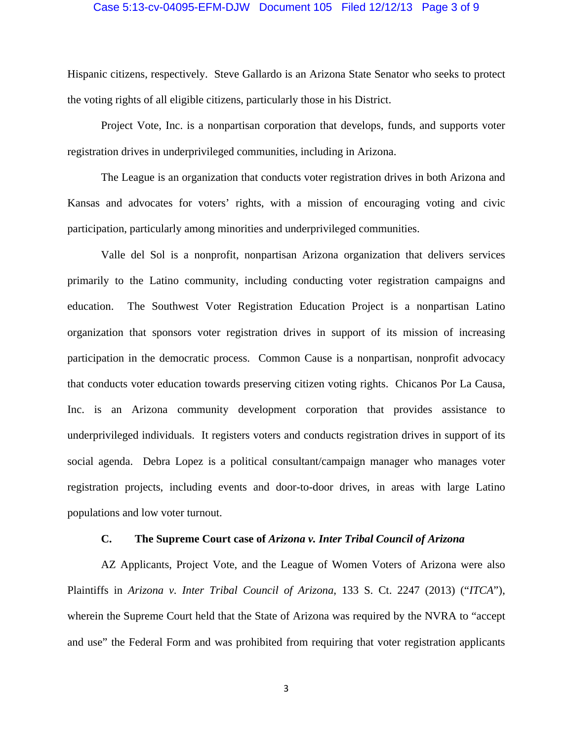#### Case 5:13-cv-04095-EFM-DJW Document 105 Filed 12/12/13 Page 3 of 9

Hispanic citizens, respectively. Steve Gallardo is an Arizona State Senator who seeks to protect the voting rights of all eligible citizens, particularly those in his District.

Project Vote, Inc. is a nonpartisan corporation that develops, funds, and supports voter registration drives in underprivileged communities, including in Arizona.

The League is an organization that conducts voter registration drives in both Arizona and Kansas and advocates for voters' rights, with a mission of encouraging voting and civic participation, particularly among minorities and underprivileged communities.

Valle del Sol is a nonprofit, nonpartisan Arizona organization that delivers services primarily to the Latino community, including conducting voter registration campaigns and education. The Southwest Voter Registration Education Project is a nonpartisan Latino organization that sponsors voter registration drives in support of its mission of increasing participation in the democratic process. Common Cause is a nonpartisan, nonprofit advocacy that conducts voter education towards preserving citizen voting rights. Chicanos Por La Causa, Inc. is an Arizona community development corporation that provides assistance to underprivileged individuals. It registers voters and conducts registration drives in support of its social agenda. Debra Lopez is a political consultant/campaign manager who manages voter registration projects, including events and door-to-door drives, in areas with large Latino populations and low voter turnout.

#### **C. The Supreme Court case of** *Arizona v. Inter Tribal Council of Arizona*

AZ Applicants, Project Vote, and the League of Women Voters of Arizona were also Plaintiffs in *Arizona v. Inter Tribal Council of Arizona*, 133 S. Ct. 2247 (2013) ("*ITCA*"), wherein the Supreme Court held that the State of Arizona was required by the NVRA to "accept and use" the Federal Form and was prohibited from requiring that voter registration applicants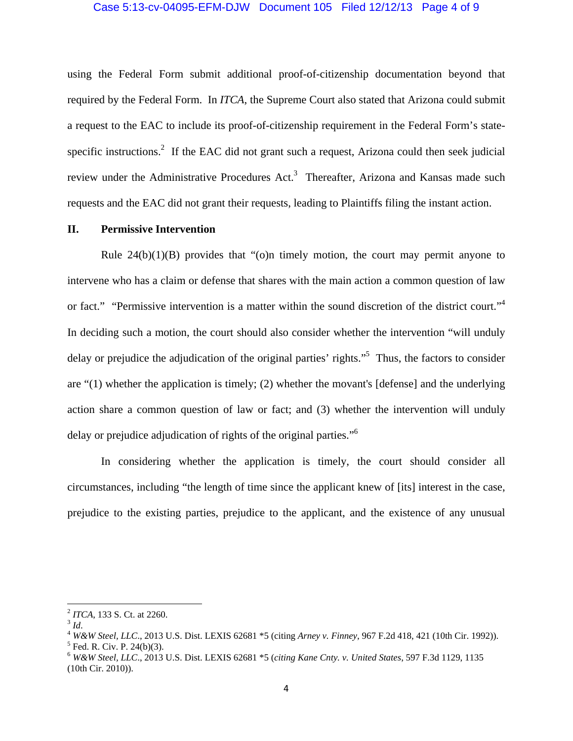#### Case 5:13-cv-04095-EFM-DJW Document 105 Filed 12/12/13 Page 4 of 9

using the Federal Form submit additional proof-of-citizenship documentation beyond that required by the Federal Form. In *ITCA*, the Supreme Court also stated that Arizona could submit a request to the EAC to include its proof-of-citizenship requirement in the Federal Form's statespecific instructions.<sup>2</sup> If the EAC did not grant such a request, Arizona could then seek judicial review under the Administrative Procedures Act.<sup>3</sup> Thereafter, Arizona and Kansas made such requests and the EAC did not grant their requests, leading to Plaintiffs filing the instant action.

# **II. Permissive Intervention**

Rule  $24(b)(1)(B)$  provides that "(o)n timely motion, the court may permit anyone to intervene who has a claim or defense that shares with the main action a common question of law or fact." "Permissive intervention is a matter within the sound discretion of the district court."<sup>4</sup> In deciding such a motion, the court should also consider whether the intervention "will unduly delay or prejudice the adjudication of the original parties' rights."<sup>5</sup> Thus, the factors to consider are "(1) whether the application is timely; (2) whether the movant's [defense] and the underlying action share a common question of law or fact; and (3) whether the intervention will unduly delay or prejudice adjudication of rights of the original parties."6

In considering whether the application is timely, the court should consider all circumstances, including "the length of time since the applicant knew of [its] interest in the case, prejudice to the existing parties, prejudice to the applicant, and the existence of any unusual

<sup>&</sup>lt;sup>2</sup> *ITCA*, 133 S. Ct. at 2260.<br><sup>3</sup> *Id.* 4 *W&W Steel, LLC.*, 2013 U.S. Dist. LEXIS 62681 \*5 (citing *Arney v. Finney*, 967 F.2d 418, 421 (10th Cir. 1992)).  $5$  Fed. R. Civ. P. 24(b)(3).

<sup>6</sup>  *W&W Steel, LLC*., 2013 U.S. Dist. LEXIS 62681 \*5 (*citing Kane Cnty. v. United States*, 597 F.3d 1129, 1135 (10th Cir. 2010)).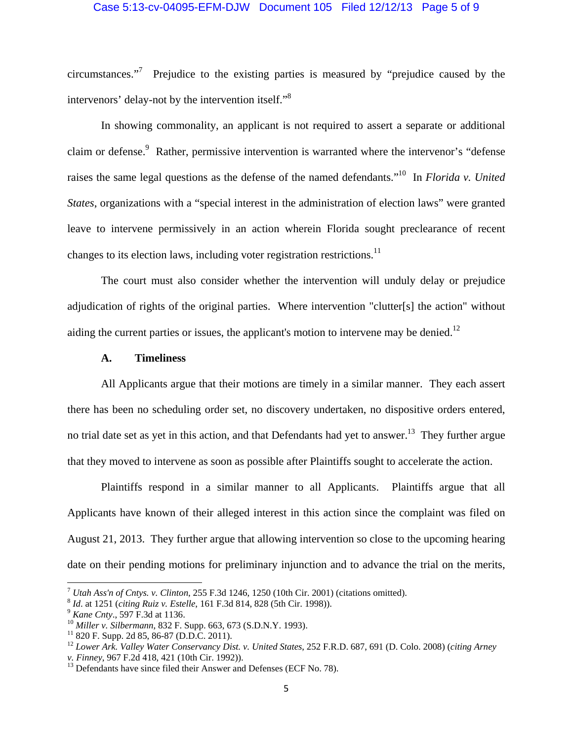#### Case 5:13-cv-04095-EFM-DJW Document 105 Filed 12/12/13 Page 5 of 9

circumstances."7 Prejudice to the existing parties is measured by "prejudice caused by the intervenors' delay-not by the intervention itself."8

In showing commonality, an applicant is not required to assert a separate or additional claim or defense.<sup>9</sup> Rather, permissive intervention is warranted where the intervenor's "defense raises the same legal questions as the defense of the named defendants."10 In *Florida v. United States*, organizations with a "special interest in the administration of election laws" were granted leave to intervene permissively in an action wherein Florida sought preclearance of recent changes to its election laws, including voter registration restrictions.<sup>11</sup>

The court must also consider whether the intervention will unduly delay or prejudice adjudication of rights of the original parties. Where intervention "clutter[s] the action" without aiding the current parties or issues, the applicant's motion to intervene may be denied.<sup>12</sup>

# **A. Timeliness**

All Applicants argue that their motions are timely in a similar manner. They each assert there has been no scheduling order set, no discovery undertaken, no dispositive orders entered, no trial date set as yet in this action, and that Defendants had yet to answer.<sup>13</sup> They further argue that they moved to intervene as soon as possible after Plaintiffs sought to accelerate the action.

Plaintiffs respond in a similar manner to all Applicants. Plaintiffs argue that all Applicants have known of their alleged interest in this action since the complaint was filed on August 21, 2013. They further argue that allowing intervention so close to the upcoming hearing date on their pending motions for preliminary injunction and to advance the trial on the merits,

<sup>&</sup>lt;sup>7</sup> *Utah Ass'n of Cntys. v. Clinton*, 255 F.3d 1246, 1250 (10th Cir. 2001) (citations omitted).<br>
<sup>8</sup> *Id.* at 1251 (citing Ruiz v. *Estelle*, 161 F.3d 814, 828 (5th Cir. 1998)).<br>
<sup>9</sup> *Kane Cnty.*, 597 F.3d at 1136.<br>
<sup>10</sup>

<sup>12</sup> *Lower Ark. Valley Water Conservancy Dist. v. United States*, 252 F.R.D. 687, 691 (D. Colo. 2008) (*citing Arney* 

*v. Finney*, 967 F.2d 418, 421 (10th Cir. 1992)).<br><sup>13</sup> Defendants have since filed their Answer and Defenses (ECF No. 78).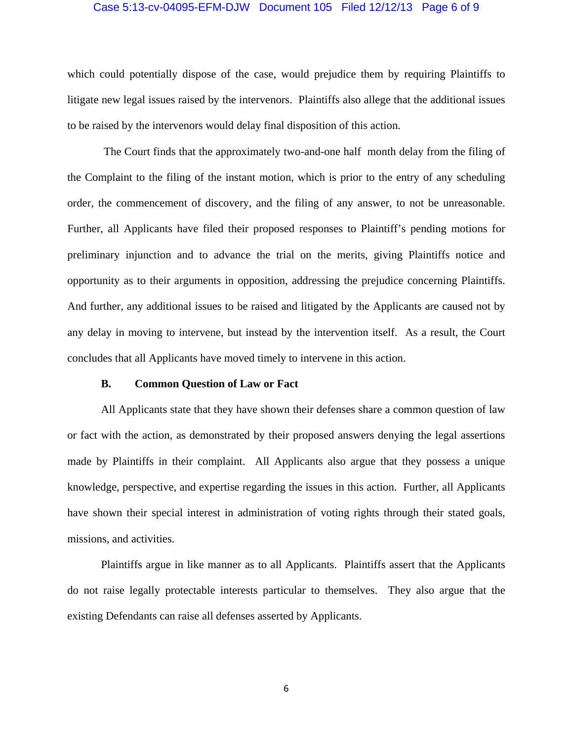#### Case 5:13-cv-04095-EFM-DJW Document 105 Filed 12/12/13 Page 6 of 9

which could potentially dispose of the case, would prejudice them by requiring Plaintiffs to litigate new legal issues raised by the intervenors. Plaintiffs also allege that the additional issues to be raised by the intervenors would delay final disposition of this action.

 The Court finds that the approximately two-and-one half month delay from the filing of the Complaint to the filing of the instant motion, which is prior to the entry of any scheduling order, the commencement of discovery, and the filing of any answer, to not be unreasonable. Further, all Applicants have filed their proposed responses to Plaintiff's pending motions for preliminary injunction and to advance the trial on the merits, giving Plaintiffs notice and opportunity as to their arguments in opposition, addressing the prejudice concerning Plaintiffs. And further, any additional issues to be raised and litigated by the Applicants are caused not by any delay in moving to intervene, but instead by the intervention itself. As a result, the Court concludes that all Applicants have moved timely to intervene in this action.

#### **B. Common Question of Law or Fact**

All Applicants state that they have shown their defenses share a common question of law or fact with the action, as demonstrated by their proposed answers denying the legal assertions made by Plaintiffs in their complaint. All Applicants also argue that they possess a unique knowledge, perspective, and expertise regarding the issues in this action. Further, all Applicants have shown their special interest in administration of voting rights through their stated goals, missions, and activities.

Plaintiffs argue in like manner as to all Applicants. Plaintiffs assert that the Applicants do not raise legally protectable interests particular to themselves. They also argue that the existing Defendants can raise all defenses asserted by Applicants.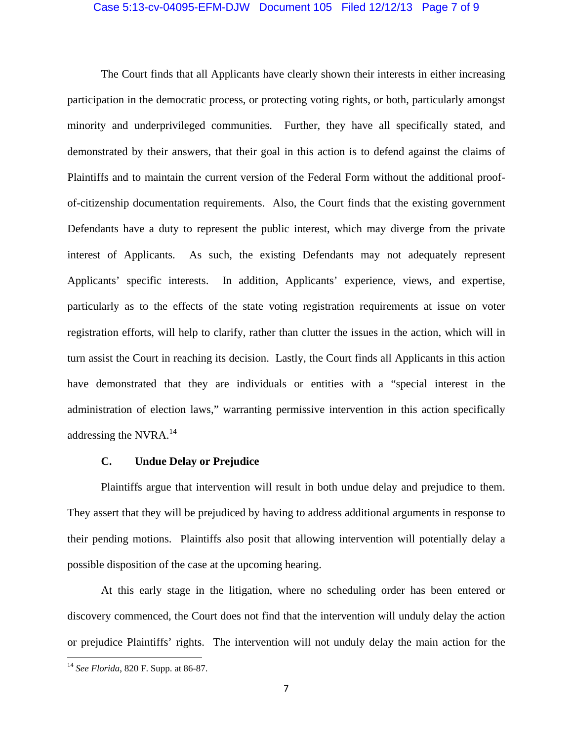#### Case 5:13-cv-04095-EFM-DJW Document 105 Filed 12/12/13 Page 7 of 9

The Court finds that all Applicants have clearly shown their interests in either increasing participation in the democratic process, or protecting voting rights, or both, particularly amongst minority and underprivileged communities. Further, they have all specifically stated, and demonstrated by their answers, that their goal in this action is to defend against the claims of Plaintiffs and to maintain the current version of the Federal Form without the additional proofof-citizenship documentation requirements. Also, the Court finds that the existing government Defendants have a duty to represent the public interest, which may diverge from the private interest of Applicants. As such, the existing Defendants may not adequately represent Applicants' specific interests. In addition, Applicants' experience, views, and expertise, particularly as to the effects of the state voting registration requirements at issue on voter registration efforts, will help to clarify, rather than clutter the issues in the action, which will in turn assist the Court in reaching its decision. Lastly, the Court finds all Applicants in this action have demonstrated that they are individuals or entities with a "special interest in the administration of election laws," warranting permissive intervention in this action specifically addressing the NVRA.<sup>14</sup>

#### **C. Undue Delay or Prejudice**

Plaintiffs argue that intervention will result in both undue delay and prejudice to them. They assert that they will be prejudiced by having to address additional arguments in response to their pending motions. Plaintiffs also posit that allowing intervention will potentially delay a possible disposition of the case at the upcoming hearing.

At this early stage in the litigation, where no scheduling order has been entered or discovery commenced, the Court does not find that the intervention will unduly delay the action or prejudice Plaintiffs' rights. The intervention will not unduly delay the main action for the

 <sup>14</sup> *See Florida*, 820 F. Supp. at 86-87.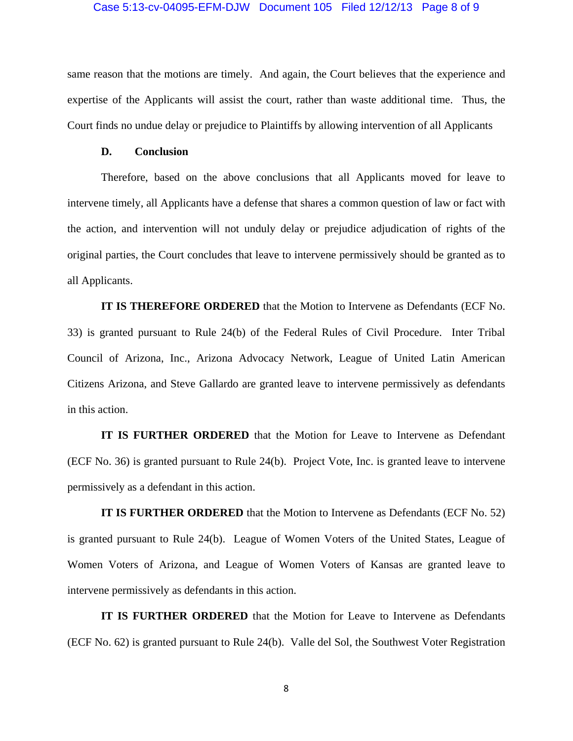#### Case 5:13-cv-04095-EFM-DJW Document 105 Filed 12/12/13 Page 8 of 9

same reason that the motions are timely. And again, the Court believes that the experience and expertise of the Applicants will assist the court, rather than waste additional time. Thus, the Court finds no undue delay or prejudice to Plaintiffs by allowing intervention of all Applicants

#### **D. Conclusion**

Therefore, based on the above conclusions that all Applicants moved for leave to intervene timely, all Applicants have a defense that shares a common question of law or fact with the action, and intervention will not unduly delay or prejudice adjudication of rights of the original parties, the Court concludes that leave to intervene permissively should be granted as to all Applicants.

**IT IS THEREFORE ORDERED** that the Motion to Intervene as Defendants (ECF No. 33) is granted pursuant to Rule 24(b) of the Federal Rules of Civil Procedure. Inter Tribal Council of Arizona, Inc., Arizona Advocacy Network, League of United Latin American Citizens Arizona, and Steve Gallardo are granted leave to intervene permissively as defendants in this action.

**IT IS FURTHER ORDERED** that the Motion for Leave to Intervene as Defendant (ECF No. 36) is granted pursuant to Rule 24(b). Project Vote, Inc. is granted leave to intervene permissively as a defendant in this action.

**IT IS FURTHER ORDERED** that the Motion to Intervene as Defendants (ECF No. 52) is granted pursuant to Rule 24(b). League of Women Voters of the United States, League of Women Voters of Arizona, and League of Women Voters of Kansas are granted leave to intervene permissively as defendants in this action.

**IT IS FURTHER ORDERED** that the Motion for Leave to Intervene as Defendants (ECF No. 62) is granted pursuant to Rule 24(b). Valle del Sol, the Southwest Voter Registration